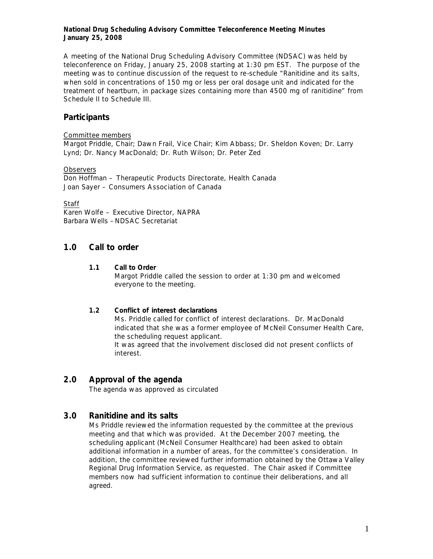## **National Drug Scheduling Advisory Committee Teleconference Meeting Minutes January 25, 2008**

A meeting of the National Drug Scheduling Advisory Committee (NDSAC) was held by teleconference on Friday, January 25, 2008 starting at 1:30 pm EST. The purpose of the meeting was to continue discussion of the request to re-schedule "Ranitidine and its salts, when sold in concentrations of 150 mg or less per oral dosage unit and indicated for the treatment of heartburn, in package sizes containing more than 4500 mg of ranitidine" from Schedule II to Schedule III.

# **Participants**

### Committee members

Margot Priddle, Chair; Dawn Frail, Vice Chair; Kim Abbass; Dr. Sheldon Koven; Dr. Larry Lynd; Dr. Nancy MacDonald; Dr. Ruth Wilson; Dr. Peter Zed

## **Observers**

Don Hoffman – Therapeutic Products Directorate, Health Canada Joan Sayer – Consumers Association of Canada

## **Staff**

Karen Wolfe – Executive Director, NAPRA Barbara Wells –NDSAC Secretariat

# **1.0 Call to order**

## **1.1 Call to Order**

Margot Priddle called the session to order at 1:30 pm and welcomed everyone to the meeting.

## **1.2 Conflict of interest declarations**

Ms. Priddle called for conflict of interest declarations. Dr. MacDonald indicated that she was a former employee of McNeil Consumer Health Care, the scheduling request applicant. It was agreed that the involvement disclosed did not present conflicts of

interest.

# **2.0 Approval of the agenda**

The agenda was approved as circulated

# **3.0 Ranitidine and its salts**

Ms Priddle reviewed the information requested by the committee at the previous meeting and that which was provided. At the December 2007 meeting, the scheduling applicant (McNeil Consumer Healthcare) had been asked to obtain additional information in a number of areas, for the committee's consideration. In addition, the committee reviewed further information obtained by the Ottawa Valley Regional Drug Information Service, as requested. The Chair asked if Committee members now had sufficient information to continue their deliberations, and all agreed.